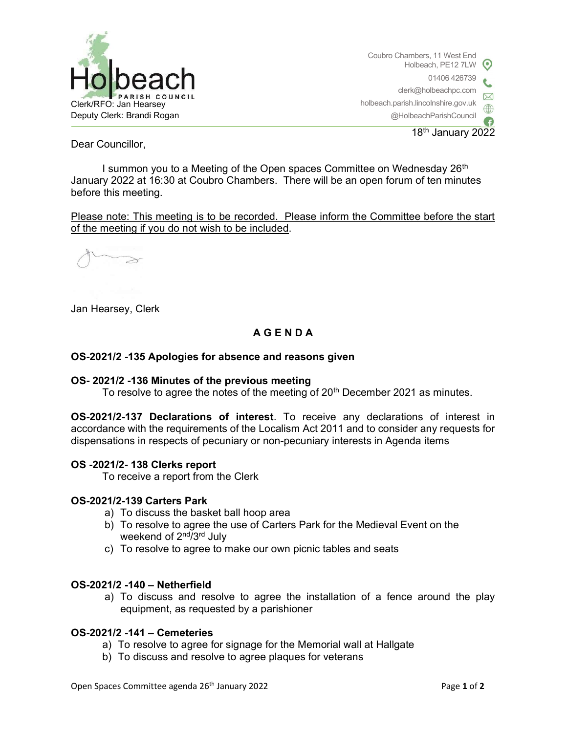

Coubro Chambers, 11 West End Holbeach, PE12 7LW 01406 426739 clerk@holbeachpc.com holbeach.parish.lincolnshire.gov.uk @HolbeachParishCouncil

18th January 2022

Dear Councillor,

I summon you to a Meeting of the Open spaces Committee on Wednesday 26<sup>th</sup> January 2022 at 16:30 at Coubro Chambers. There will be an open forum of ten minutes before this meeting.

Please note: This meeting is to be recorded. Please inform the Committee before the start of the meeting if you do not wish to be included.

Jan Hearsey, Clerk

# A G E N D A

# OS-2021/2 -135 Apologies for absence and reasons given

# OS- 2021/2 -136 Minutes of the previous meeting

To resolve to agree the notes of the meeting of 20<sup>th</sup> December 2021 as minutes.

OS-2021/2-137 Declarations of interest. To receive any declarations of interest in accordance with the requirements of the Localism Act 2011 and to consider any requests for dispensations in respects of pecuniary or non-pecuniary interests in Agenda items

# OS -2021/2- 138 Clerks report

To receive a report from the Clerk

# OS-2021/2-139 Carters Park

- a) To discuss the basket ball hoop area
- b) To resolve to agree the use of Carters Park for the Medieval Event on the weekend of 2<sup>nd</sup>/3<sup>rd</sup> July
- c) To resolve to agree to make our own picnic tables and seats

# OS-2021/2 -140 – Netherfield

a) To discuss and resolve to agree the installation of a fence around the play equipment, as requested by a parishioner

# OS-2021/2 -141 – Cemeteries

- a) To resolve to agree for signage for the Memorial wall at Hallgate
- b) To discuss and resolve to agree plaques for veterans